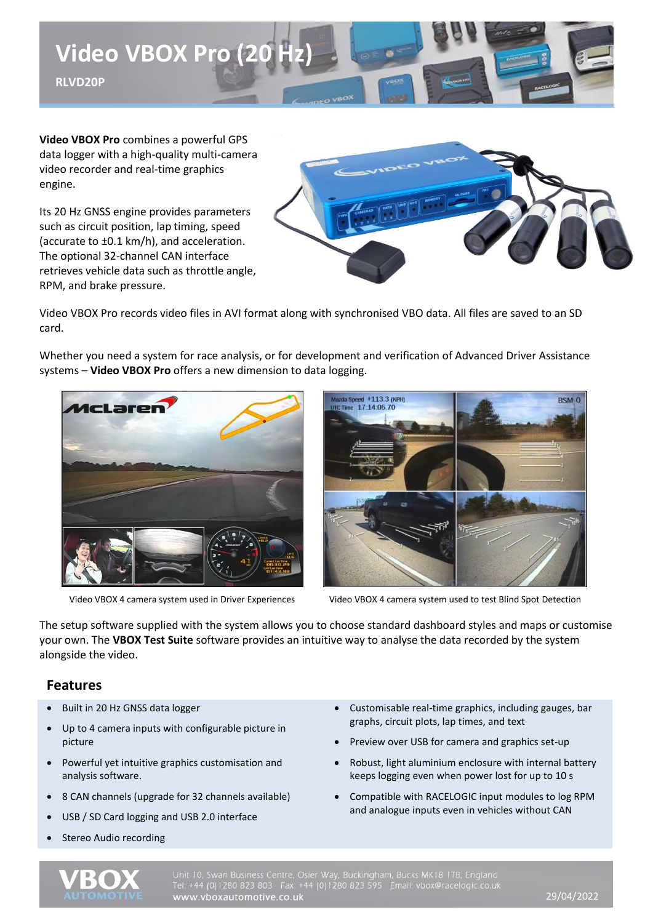

**Video VBOX Pro** combines a powerful GPS data logger with a high-quality multi-camera video recorder and real-time graphics engine.

Its 20 Hz GNSS engine provides parameters such as circuit position, lap timing, speed (accurate to ±0.1 km/h), and acceleration. The optional 32-channel CAN interface retrieves vehicle data such as throttle angle, RPM, and brake pressure.



Video VBOX Pro records video files in AVI format along with synchronised VBO data. All files are saved to an SD card.

Whether you need a system for race analysis, or for development and verification of Advanced Driver Assistance systems – **Video VBOX Pro** offers a new dimension to data logging.





Video VBOX 4 camera system used in Driver Experiences Video VBOX 4 camera system used to test Blind Spot Detection

The setup software supplied with the system allows you to choose standard dashboard styles and maps or customise your own. The **VBOX Test Suite** software provides an intuitive way to analyse the data recorded by the system alongside the video.

## **Features**

- Built in 20 Hz GNSS data logger
- Up to 4 camera inputs with configurable picture in picture
- Powerful yet intuitive graphics customisation and analysis software.
- 8 CAN channels (upgrade for 32 channels available)
- USB / SD Card logging and USB 2.0 interface
- Stereo Audio recording
- Customisable real-time graphics, including gauges, bar graphs, circuit plots, lap times, and text
- Preview over USB for camera and graphics set-up
- Robust, light aluminium enclosure with internal battery keeps logging even when power lost for up to 10 s
- Compatible with RACELOGIC input modules to log RPM and analogue inputs even in vehicles without CAN



Unit 10, Swan Business Centre, Osier Way, Buckingham, Bucks MK18 1TB, England<br>Tel: +44 (0)1280 823 803 Fax: +44 (0)1280 823 595 Email: vbox@racelogic.co.ul<br>**www.vboxautomotive.co.uk**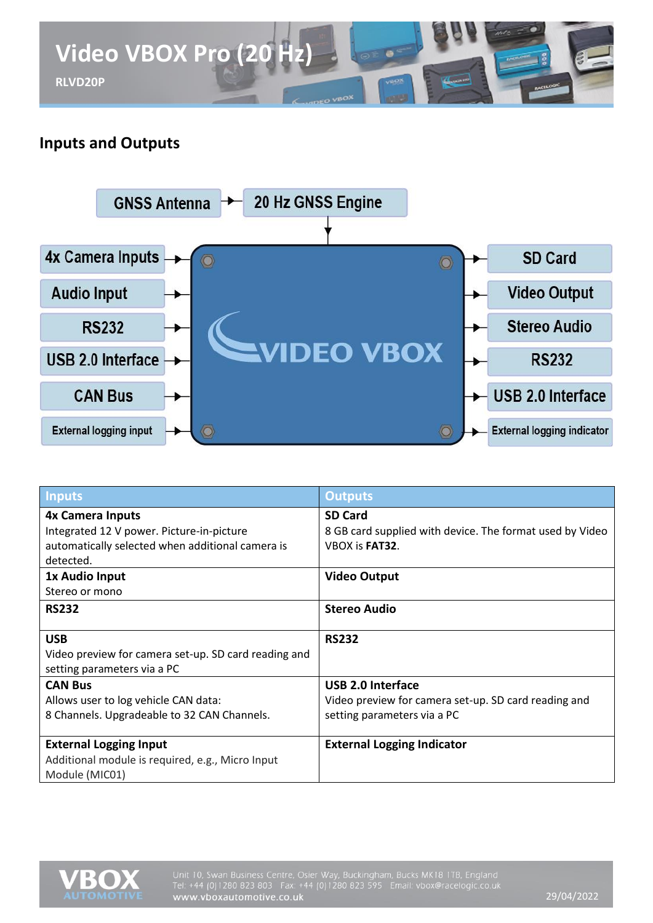

# **Inputs and Outputs**



| <b>Inputs</b>                                        | <b>Outputs</b>                                           |
|------------------------------------------------------|----------------------------------------------------------|
| <b>4x Camera Inputs</b>                              | <b>SD Card</b>                                           |
| Integrated 12 V power. Picture-in-picture            | 8 GB card supplied with device. The format used by Video |
| automatically selected when additional camera is     | VBOX is FAT32.                                           |
| detected.                                            |                                                          |
| 1x Audio Input                                       | <b>Video Output</b>                                      |
| Stereo or mono                                       |                                                          |
| <b>RS232</b>                                         | <b>Stereo Audio</b>                                      |
|                                                      |                                                          |
| <b>USB</b>                                           | <b>RS232</b>                                             |
| Video preview for camera set-up. SD card reading and |                                                          |
| setting parameters via a PC                          |                                                          |
| <b>CAN Bus</b>                                       | <b>USB 2.0 Interface</b>                                 |
| Allows user to log vehicle CAN data:                 | Video preview for camera set-up. SD card reading and     |
| 8 Channels. Upgradeable to 32 CAN Channels.          | setting parameters via a PC                              |
|                                                      |                                                          |
| <b>External Logging Input</b>                        | <b>External Logging Indicator</b>                        |
| Additional module is required, e.g., Micro Input     |                                                          |
| Module (MIC01)                                       |                                                          |

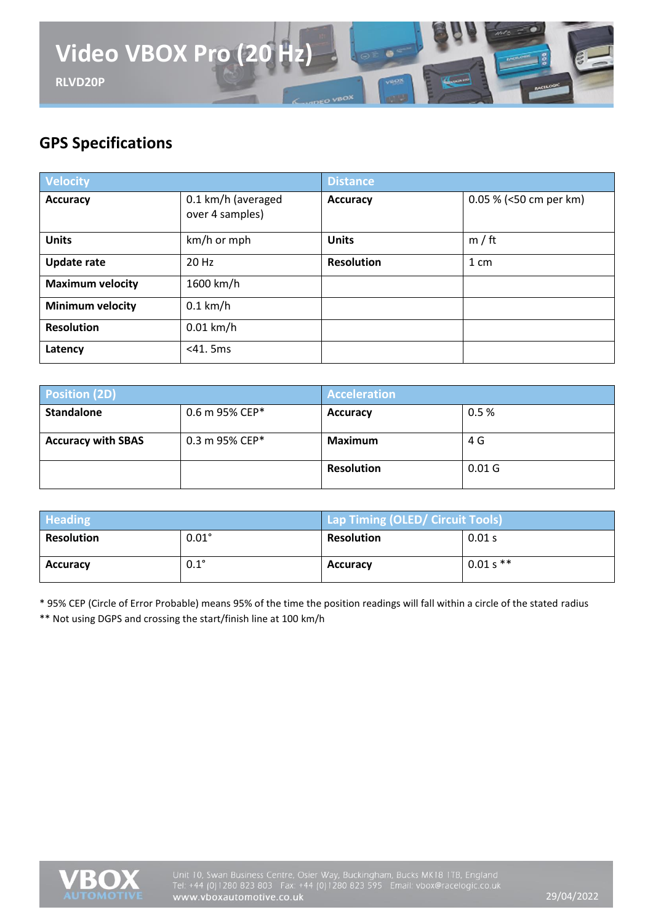

# **GPS Specifications**

| Velocity                |                                       | <b>Distance</b>   |                        |
|-------------------------|---------------------------------------|-------------------|------------------------|
| <b>Accuracy</b>         | 0.1 km/h (averaged<br>over 4 samples) | <b>Accuracy</b>   | 0.05 % (<50 cm per km) |
| <b>Units</b>            | km/h or mph                           | <b>Units</b>      | m / ft                 |
| <b>Update rate</b>      | 20 Hz                                 | <b>Resolution</b> | $1 \, \text{cm}$       |
| <b>Maximum velocity</b> | 1600 km/h                             |                   |                        |
| <b>Minimum velocity</b> | $0.1$ km/h                            |                   |                        |
| <b>Resolution</b>       | $0.01$ km/h                           |                   |                        |
| Latency                 | $<$ 41. 5ms                           |                   |                        |

| <b>Position (2D)</b>      |                | <b>Acceleration</b> |                   |
|---------------------------|----------------|---------------------|-------------------|
| <b>Standalone</b>         | 0.6 m 95% CEP* | Accuracy            | 0.5%              |
| <b>Accuracy with SBAS</b> | 0.3 m 95% CEP* | Maximum             | 4 G               |
|                           |                | <b>Resolution</b>   | 0.01 <sub>G</sub> |

| <b>Heading</b>    |              | Lap Timing (OLED/ Circuit Tools) |             |
|-------------------|--------------|----------------------------------|-------------|
| <b>Resolution</b> | $0.01^\circ$ | <b>Resolution</b>                | 0.01 s      |
| <b>Accuracy</b>   | $0.1^\circ$  | <b>Accuracy</b>                  | $0.01 s$ ** |

\* 95% CEP (Circle of Error Probable) means 95% of the time the position readings will fall within a circle of the stated radius \*\* Not using DGPS and crossing the start/finish line at 100 km/h

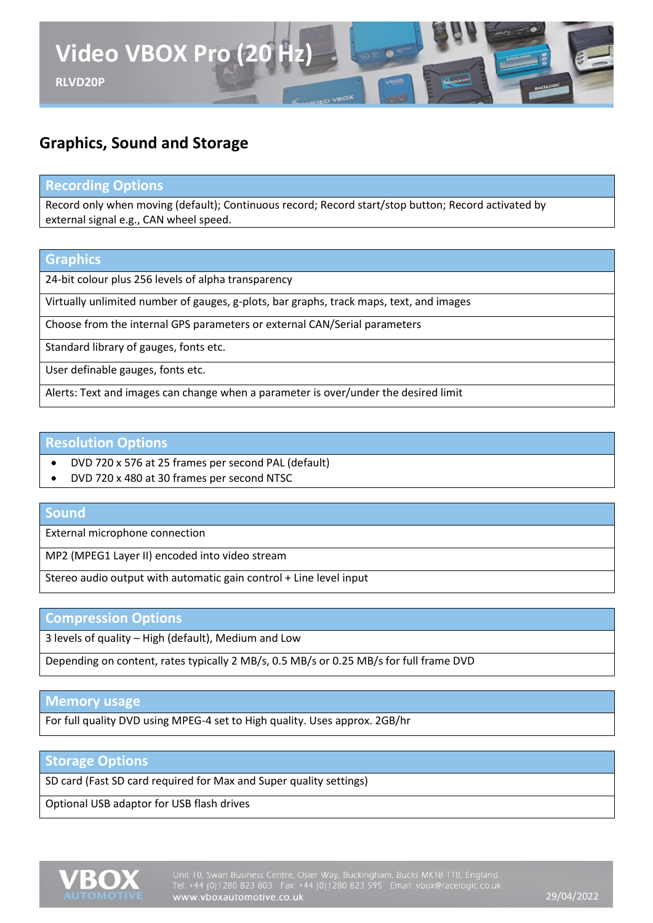

# **Graphics, Sound and Storage**

### **Recording Options**

Record only when moving (default); Continuous record; Record start/stop button; Record activated by external signal e.g., CAN wheel speed.

### **Graphics**

24-bit colour plus 256 levels of alpha transparency

Virtually unlimited number of gauges, g-plots, bar graphs, track maps, text, and images

Choose from the internal GPS parameters or external CAN/Serial parameters

Standard library of gauges, fonts etc.

User definable gauges, fonts etc.

Alerts: Text and images can change when a parameter is over/under the desired limit

#### **Resolution Options**

- DVD 720 x 576 at 25 frames per second PAL (default)
- DVD 720 x 480 at 30 frames per second NTSC

#### **Sound**

External microphone connection

MP2 (MPEG1 Layer II) encoded into video stream

Stereo audio output with automatic gain control + Line level input

#### **Compression Options**

3 levels of quality – High (default), Medium and Low

Depending on content, rates typically 2 MB/s, 0.5 MB/s or 0.25 MB/s for full frame DVD

## **Memory usage**

For full quality DVD using MPEG-4 set to High quality. Uses approx. 2GB/hr

#### **Storage Options**

SD card (Fast SD card required for Max and Super quality settings)

Optional USB adaptor for USB flash drives

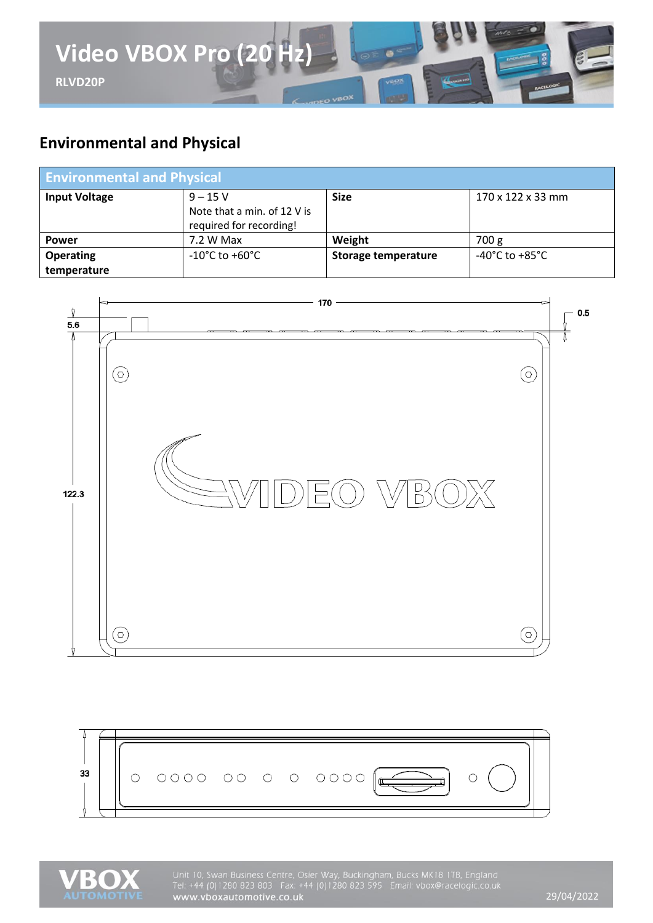

# **Environmental and Physical**

| <b>Environmental and Physical</b> |                                                                     |                            |                                    |
|-----------------------------------|---------------------------------------------------------------------|----------------------------|------------------------------------|
| <b>Input Voltage</b>              | $9 - 15V$<br>Note that a min. of 12 V is<br>required for recording! | <b>Size</b>                | 170 x 122 x 33 mm                  |
| <b>Power</b>                      | 7.2 W Max                                                           | Weight                     | 700 g                              |
| <b>Operating</b><br>temperature   | $-10^{\circ}$ C to $+60^{\circ}$ C                                  | <b>Storage temperature</b> | $-40^{\circ}$ C to $+85^{\circ}$ C |







Unit 10, Swan Business Centre, Osier Way, Buckingham, Bucks MK18 1TB, England Tel: +44 (0)1280 823 803 Fax: +44 (0)1280 823 595 Email: vbox@racelogic.co.uk<br>www.vboxautomotive.co.uk